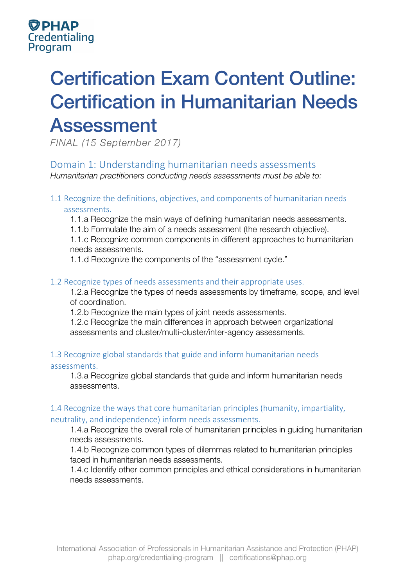# Certification Exam Content Outline: Certification in Humanitarian Needs Assessment

*FINAL (15 September 2017)*

Domain 1: Understanding humanitarian needs assessments *Humanitarian practitioners conducting needs assessments must be able to:* 

1.1 Recognize the definitions, objectives, and components of humanitarian needs assessments.

1.1.a Recognize the main ways of defining humanitarian needs assessments.

1.1.b Formulate the aim of a needs assessment (the research objective).

1.1.c Recognize common components in different approaches to humanitarian needs assessments.

1.1.d Recognize the components of the "assessment cycle."

#### 1.2 Recognize types of needs assessments and their appropriate uses.

1.2.a Recognize the types of needs assessments by timeframe, scope, and level of coordination.

1.2.b Recognize the main types of joint needs assessments.

1.2.c Recognize the main differences in approach between organizational assessments and cluster/multi-cluster/inter-agency assessments.

#### 1.3 Recognize global standards that guide and inform humanitarian needs assessments.

1.3.a Recognize global standards that guide and inform humanitarian needs assessments.

#### 1.4 Recognize the ways that core humanitarian principles (humanity, impartiality, neutrality, and independence) inform needs assessments.

1.4.a Recognize the overall role of humanitarian principles in guiding humanitarian needs assessments.

1.4.b Recognize common types of dilemmas related to humanitarian principles faced in humanitarian needs assessments.

1.4.c Identify other common principles and ethical considerations in humanitarian needs assessments.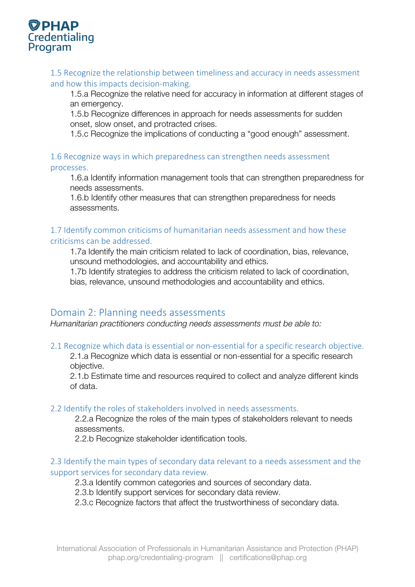

1.5 Recognize the relationship between timeliness and accuracy in needs assessment and how this impacts decision-making.

1.5.a Recognize the relative need for accuracy in information at different stages of an emergency.

1.5.b Recognize differences in approach for needs assessments for sudden onset, slow onset, and protracted crises.

1.5.c Recognize the implications of conducting a "good enough" assessment.

1.6 Recognize ways in which preparedness can strengthen needs assessment processes.

1.6.a Identify information management tools that can strengthen preparedness for needs assessments.

1.6.b Identify other measures that can strengthen preparedness for needs assessments.

#### 1.7 Identify common criticisms of humanitarian needs assessment and how these criticisms can be addressed.

1.7a Identify the main criticism related to lack of coordination, bias, relevance, unsound methodologies, and accountability and ethics.

1.7b Identify strategies to address the criticism related to lack of coordination, bias, relevance, unsound methodologies and accountability and ethics.

#### Domain 2: Planning needs assessments

*Humanitarian practitioners conducting needs assessments must be able to:* 

#### 2.1 Recognize which data is essential or non-essential for a specific research objective.

2.1.a Recognize which data is essential or non-essential for a specific research objective.

2.1.b Estimate time and resources required to collect and analyze different kinds of data.

#### 2.2 Identify the roles of stakeholders involved in needs assessments.

2.2.a Recognize the roles of the main types of stakeholders relevant to needs assessments.

2.2.b Recognize stakeholder identification tools.

#### 2.3 Identify the main types of secondary data relevant to a needs assessment and the support services for secondary data review.

2.3.a Identify common categories and sources of secondary data.

2.3.b Identify support services for secondary data review.

2.3.c Recognize factors that affect the trustworthiness of secondary data.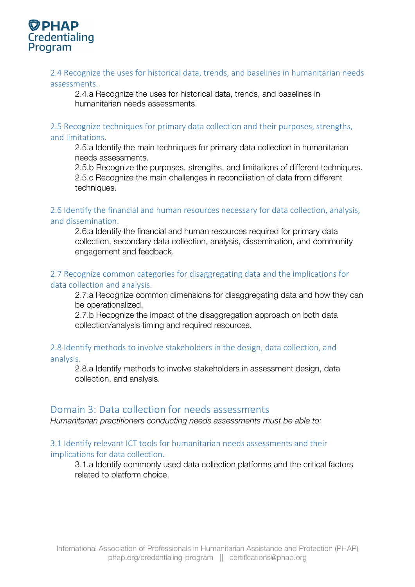

#### 2.4 Recognize the uses for historical data, trends, and baselines in humanitarian needs assessments.

2.4.a Recognize the uses for historical data, trends, and baselines in humanitarian needs assessments.

## 2.5 Recognize techniques for primary data collection and their purposes, strengths,

#### and limitations.

2.5.a Identify the main techniques for primary data collection in humanitarian needs assessments.

2.5.b Recognize the purposes, strengths, and limitations of different techniques. 2.5.c Recognize the main challenges in reconciliation of data from different techniques.

2.6 Identify the financial and human resources necessary for data collection, analysis, and dissemination.

2.6.a Identify the financial and human resources required for primary data collection, secondary data collection, analysis, dissemination, and community engagement and feedback.

#### 2.7 Recognize common categories for disaggregating data and the implications for data collection and analysis.

2.7.a Recognize common dimensions for disaggregating data and how they can be operationalized.

2.7.b Recognize the impact of the disaggregation approach on both data collection/analysis timing and required resources.

#### 2.8 Identify methods to involve stakeholders in the design, data collection, and analysis.

2.8.a Identify methods to involve stakeholders in assessment design, data collection, and analysis.

#### Domain 3: Data collection for needs assessments

*Humanitarian practitioners conducting needs assessments must be able to:* 

#### 3.1 Identify relevant ICT tools for humanitarian needs assessments and their implications for data collection.

3.1.a Identify commonly used data collection platforms and the critical factors related to platform choice.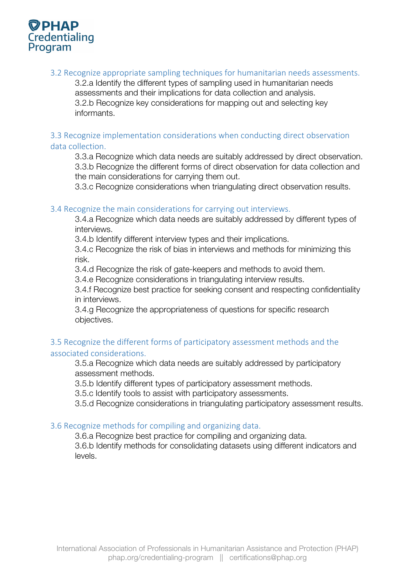

3.2 Recognize appropriate sampling techniques for humanitarian needs assessments.

3.2.a Identify the different types of sampling used in humanitarian needs assessments and their implications for data collection and analysis. 3.2.b Recognize key considerations for mapping out and selecting key informants.

#### 3.3 Recognize implementation considerations when conducting direct observation data collection.

3.3.a Recognize which data needs are suitably addressed by direct observation. 3.3.b Recognize the different forms of direct observation for data collection and the main considerations for carrying them out.

3.3.c Recognize considerations when triangulating direct observation results.

#### 3.4 Recognize the main considerations for carrying out interviews.

3.4.a Recognize which data needs are suitably addressed by different types of interviews.

3.4.b Identify different interview types and their implications.

3.4.c Recognize the risk of bias in interviews and methods for minimizing this risk.

3.4.d Recognize the risk of gate-keepers and methods to avoid them.

3.4.e Recognize considerations in triangulating interview results.

3.4.f Recognize best practice for seeking consent and respecting confidentiality in interviews.

3.4.g Recognize the appropriateness of questions for specific research objectives.

#### 3.5 Recognize the different forms of participatory assessment methods and the associated considerations.

3.5.a Recognize which data needs are suitably addressed by participatory assessment methods.

3.5.b Identify different types of participatory assessment methods.

3.5.c Identify tools to assist with participatory assessments.

3.5.d Recognize considerations in triangulating participatory assessment results.

#### 3.6 Recognize methods for compiling and organizing data.

3.6.a Recognize best practice for compiling and organizing data.

3.6.b Identify methods for consolidating datasets using different indicators and levels.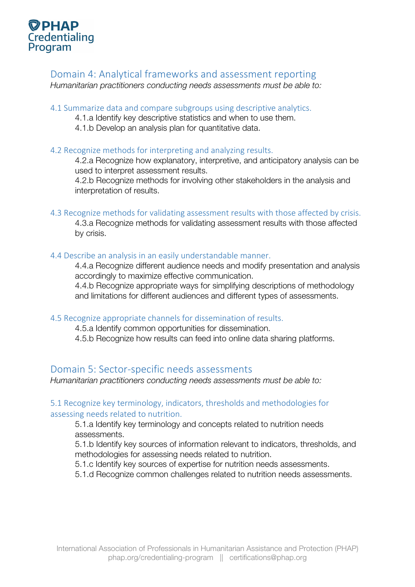

#### Domain 4: Analytical frameworks and assessment reporting

*Humanitarian practitioners conducting needs assessments must be able to:* 

#### 4.1 Summarize data and compare subgroups using descriptive analytics.

- 4.1.a Identify key descriptive statistics and when to use them.
	- 4.1.b Develop an analysis plan for quantitative data.

#### 4.2 Recognize methods for interpreting and analyzing results.

4.2.a Recognize how explanatory, interpretive, and anticipatory analysis can be used to interpret assessment results.

4.2.b Recognize methods for involving other stakeholders in the analysis and interpretation of results.

#### 4.3 Recognize methods for validating assessment results with those affected by crisis.

4.3.a Recognize methods for validating assessment results with those affected by crisis.

#### 4.4 Describe an analysis in an easily understandable manner.

4.4.a Recognize different audience needs and modify presentation and analysis accordingly to maximize effective communication.

4.4.b Recognize appropriate ways for simplifying descriptions of methodology and limitations for different audiences and different types of assessments.

#### 4.5 Recognize appropriate channels for dissemination of results.

4.5.a Identify common opportunities for dissemination.

4.5.b Recognize how results can feed into online data sharing platforms.

#### Domain 5: Sector-specific needs assessments

*Humanitarian practitioners conducting needs assessments must be able to:*

#### 5.1 Recognize key terminology, indicators, thresholds and methodologies for assessing needs related to nutrition.

5.1.a Identify key terminology and concepts related to nutrition needs assessments.

5.1.b Identify key sources of information relevant to indicators, thresholds, and methodologies for assessing needs related to nutrition.

5.1.c Identify key sources of expertise for nutrition needs assessments.

5.1.d Recognize common challenges related to nutrition needs assessments.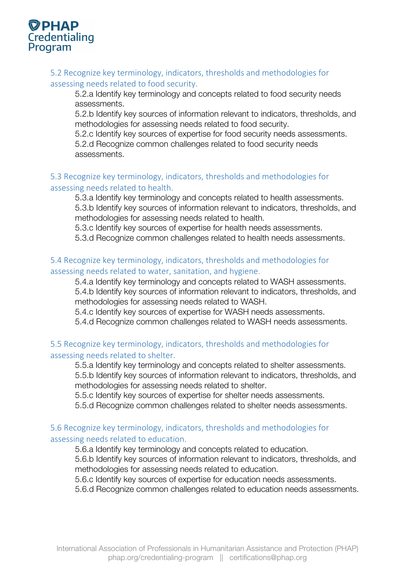

### 5.2 Recognize key terminology, indicators, thresholds and methodologies for

assessing needs related to food security.

5.2.a Identify key terminology and concepts related to food security needs assessments.

5.2.b Identify key sources of information relevant to indicators, thresholds, and methodologies for assessing needs related to food security.

5.2.c Identify key sources of expertise for food security needs assessments. 5.2.d Recognize common challenges related to food security needs assessments.

#### 5.3 Recognize key terminology, indicators, thresholds and methodologies for assessing needs related to health.

5.3.a Identify key terminology and concepts related to health assessments. 5.3.b Identify key sources of information relevant to indicators, thresholds, and methodologies for assessing needs related to health.

5.3.c Identify key sources of expertise for health needs assessments.

5.3.d Recognize common challenges related to health needs assessments.

#### 5.4 Recognize key terminology, indicators, thresholds and methodologies for assessing needs related to water, sanitation, and hygiene.

5.4.a Identify key terminology and concepts related to WASH assessments. 5.4.b Identify key sources of information relevant to indicators, thresholds, and methodologies for assessing needs related to WASH.

5.4.c Identify key sources of expertise for WASH needs assessments.

5.4.d Recognize common challenges related to WASH needs assessments.

#### 5.5 Recognize key terminology, indicators, thresholds and methodologies for assessing needs related to shelter.

5.5.a Identify key terminology and concepts related to shelter assessments. 5.5.b Identify key sources of information relevant to indicators, thresholds, and methodologies for assessing needs related to shelter.

5.5.c Identify key sources of expertise for shelter needs assessments.

5.5.d Recognize common challenges related to shelter needs assessments.

#### 5.6 Recognize key terminology, indicators, thresholds and methodologies for assessing needs related to education.

5.6.a Identify key terminology and concepts related to education.

5.6.b Identify key sources of information relevant to indicators, thresholds, and methodologies for assessing needs related to education.

5.6.c Identify key sources of expertise for education needs assessments.

5.6.d Recognize common challenges related to education needs assessments.